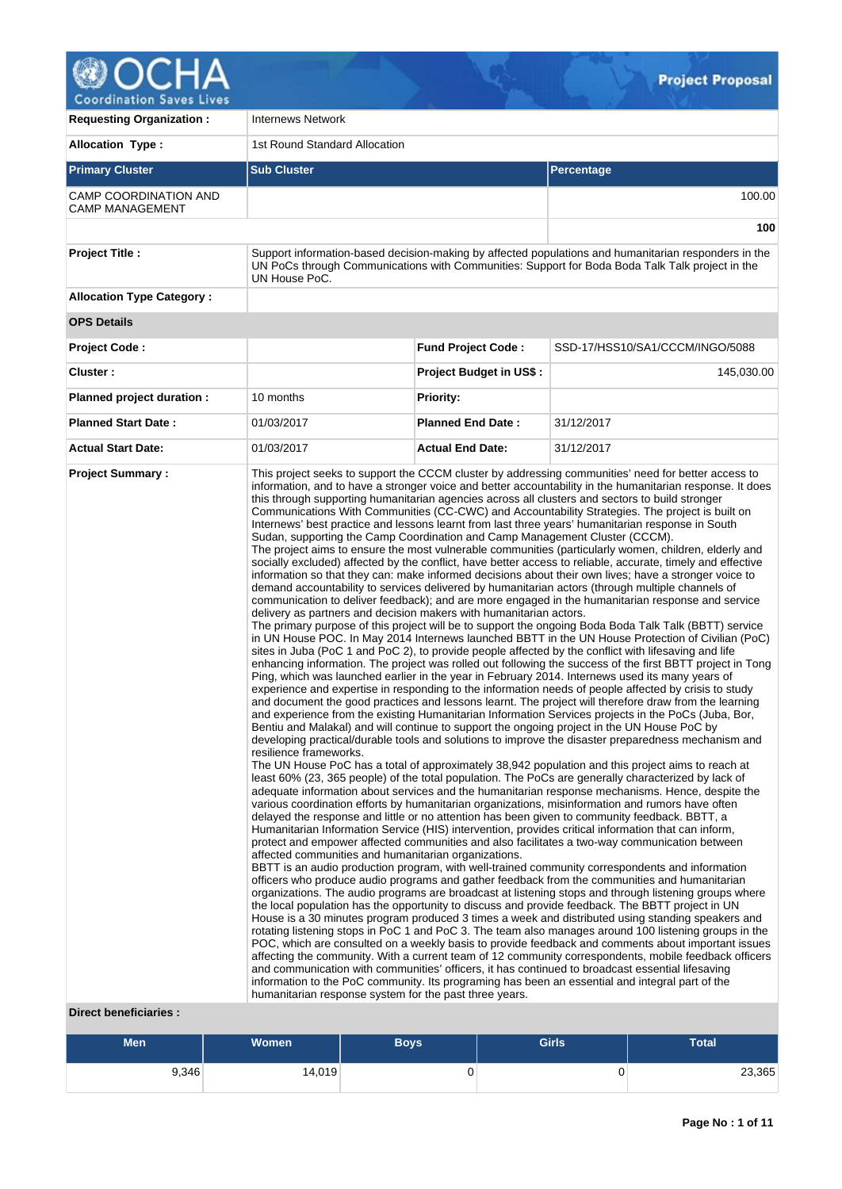

| <b>Requesting Organization:</b>                  | <b>Internews Network</b>                                                                                                                                                                                                                                                                      |                                |                                                                                                                                                                                                                                                                                                                                                                                                                                                                                                                                                                                                                                                                                                                                                                                                                                                                                                                                                                                                                                                                                                                                                                                                                                                                                                                                                                                                                                                                                                                                                                                                                                                                                                                                                                                                                                                                                                                                                                                                                                                                                                                                                                                                                                                                                                                                                                                                                                                                                                                                                                                                                                                                                                                                                                                                                                                                                                                                                                                                                                                                                                                                                                                                                                                                                                                                                                                                                                                                                                                                                                                                                                                                                                                                                                                                                       |  |  |  |  |  |
|--------------------------------------------------|-----------------------------------------------------------------------------------------------------------------------------------------------------------------------------------------------------------------------------------------------------------------------------------------------|--------------------------------|-----------------------------------------------------------------------------------------------------------------------------------------------------------------------------------------------------------------------------------------------------------------------------------------------------------------------------------------------------------------------------------------------------------------------------------------------------------------------------------------------------------------------------------------------------------------------------------------------------------------------------------------------------------------------------------------------------------------------------------------------------------------------------------------------------------------------------------------------------------------------------------------------------------------------------------------------------------------------------------------------------------------------------------------------------------------------------------------------------------------------------------------------------------------------------------------------------------------------------------------------------------------------------------------------------------------------------------------------------------------------------------------------------------------------------------------------------------------------------------------------------------------------------------------------------------------------------------------------------------------------------------------------------------------------------------------------------------------------------------------------------------------------------------------------------------------------------------------------------------------------------------------------------------------------------------------------------------------------------------------------------------------------------------------------------------------------------------------------------------------------------------------------------------------------------------------------------------------------------------------------------------------------------------------------------------------------------------------------------------------------------------------------------------------------------------------------------------------------------------------------------------------------------------------------------------------------------------------------------------------------------------------------------------------------------------------------------------------------------------------------------------------------------------------------------------------------------------------------------------------------------------------------------------------------------------------------------------------------------------------------------------------------------------------------------------------------------------------------------------------------------------------------------------------------------------------------------------------------------------------------------------------------------------------------------------------------------------------------------------------------------------------------------------------------------------------------------------------------------------------------------------------------------------------------------------------------------------------------------------------------------------------------------------------------------------------------------------------------------------------------------------------------------------------------------------------------|--|--|--|--|--|
| <b>Allocation Type:</b>                          | 1st Round Standard Allocation                                                                                                                                                                                                                                                                 |                                |                                                                                                                                                                                                                                                                                                                                                                                                                                                                                                                                                                                                                                                                                                                                                                                                                                                                                                                                                                                                                                                                                                                                                                                                                                                                                                                                                                                                                                                                                                                                                                                                                                                                                                                                                                                                                                                                                                                                                                                                                                                                                                                                                                                                                                                                                                                                                                                                                                                                                                                                                                                                                                                                                                                                                                                                                                                                                                                                                                                                                                                                                                                                                                                                                                                                                                                                                                                                                                                                                                                                                                                                                                                                                                                                                                                                                       |  |  |  |  |  |
| <b>Primary Cluster</b>                           | <b>Sub Cluster</b><br><b>Percentage</b>                                                                                                                                                                                                                                                       |                                |                                                                                                                                                                                                                                                                                                                                                                                                                                                                                                                                                                                                                                                                                                                                                                                                                                                                                                                                                                                                                                                                                                                                                                                                                                                                                                                                                                                                                                                                                                                                                                                                                                                                                                                                                                                                                                                                                                                                                                                                                                                                                                                                                                                                                                                                                                                                                                                                                                                                                                                                                                                                                                                                                                                                                                                                                                                                                                                                                                                                                                                                                                                                                                                                                                                                                                                                                                                                                                                                                                                                                                                                                                                                                                                                                                                                                       |  |  |  |  |  |
| CAMP COORDINATION AND<br><b>CAMP MANAGEMENT</b>  |                                                                                                                                                                                                                                                                                               |                                | 100.00                                                                                                                                                                                                                                                                                                                                                                                                                                                                                                                                                                                                                                                                                                                                                                                                                                                                                                                                                                                                                                                                                                                                                                                                                                                                                                                                                                                                                                                                                                                                                                                                                                                                                                                                                                                                                                                                                                                                                                                                                                                                                                                                                                                                                                                                                                                                                                                                                                                                                                                                                                                                                                                                                                                                                                                                                                                                                                                                                                                                                                                                                                                                                                                                                                                                                                                                                                                                                                                                                                                                                                                                                                                                                                                                                                                                                |  |  |  |  |  |
|                                                  |                                                                                                                                                                                                                                                                                               |                                | 100                                                                                                                                                                                                                                                                                                                                                                                                                                                                                                                                                                                                                                                                                                                                                                                                                                                                                                                                                                                                                                                                                                                                                                                                                                                                                                                                                                                                                                                                                                                                                                                                                                                                                                                                                                                                                                                                                                                                                                                                                                                                                                                                                                                                                                                                                                                                                                                                                                                                                                                                                                                                                                                                                                                                                                                                                                                                                                                                                                                                                                                                                                                                                                                                                                                                                                                                                                                                                                                                                                                                                                                                                                                                                                                                                                                                                   |  |  |  |  |  |
| <b>Project Title:</b>                            | UN House PoC.                                                                                                                                                                                                                                                                                 |                                | Support information-based decision-making by affected populations and humanitarian responders in the<br>UN PoCs through Communications with Communities: Support for Boda Boda Talk Talk project in the                                                                                                                                                                                                                                                                                                                                                                                                                                                                                                                                                                                                                                                                                                                                                                                                                                                                                                                                                                                                                                                                                                                                                                                                                                                                                                                                                                                                                                                                                                                                                                                                                                                                                                                                                                                                                                                                                                                                                                                                                                                                                                                                                                                                                                                                                                                                                                                                                                                                                                                                                                                                                                                                                                                                                                                                                                                                                                                                                                                                                                                                                                                                                                                                                                                                                                                                                                                                                                                                                                                                                                                                               |  |  |  |  |  |
| <b>Allocation Type Category:</b>                 |                                                                                                                                                                                                                                                                                               |                                |                                                                                                                                                                                                                                                                                                                                                                                                                                                                                                                                                                                                                                                                                                                                                                                                                                                                                                                                                                                                                                                                                                                                                                                                                                                                                                                                                                                                                                                                                                                                                                                                                                                                                                                                                                                                                                                                                                                                                                                                                                                                                                                                                                                                                                                                                                                                                                                                                                                                                                                                                                                                                                                                                                                                                                                                                                                                                                                                                                                                                                                                                                                                                                                                                                                                                                                                                                                                                                                                                                                                                                                                                                                                                                                                                                                                                       |  |  |  |  |  |
| <b>OPS Details</b>                               |                                                                                                                                                                                                                                                                                               |                                |                                                                                                                                                                                                                                                                                                                                                                                                                                                                                                                                                                                                                                                                                                                                                                                                                                                                                                                                                                                                                                                                                                                                                                                                                                                                                                                                                                                                                                                                                                                                                                                                                                                                                                                                                                                                                                                                                                                                                                                                                                                                                                                                                                                                                                                                                                                                                                                                                                                                                                                                                                                                                                                                                                                                                                                                                                                                                                                                                                                                                                                                                                                                                                                                                                                                                                                                                                                                                                                                                                                                                                                                                                                                                                                                                                                                                       |  |  |  |  |  |
| <b>Project Code:</b>                             |                                                                                                                                                                                                                                                                                               | <b>Fund Project Code:</b>      | SSD-17/HSS10/SA1/CCCM/INGO/5088                                                                                                                                                                                                                                                                                                                                                                                                                                                                                                                                                                                                                                                                                                                                                                                                                                                                                                                                                                                                                                                                                                                                                                                                                                                                                                                                                                                                                                                                                                                                                                                                                                                                                                                                                                                                                                                                                                                                                                                                                                                                                                                                                                                                                                                                                                                                                                                                                                                                                                                                                                                                                                                                                                                                                                                                                                                                                                                                                                                                                                                                                                                                                                                                                                                                                                                                                                                                                                                                                                                                                                                                                                                                                                                                                                                       |  |  |  |  |  |
| Cluster:                                         |                                                                                                                                                                                                                                                                                               | <b>Project Budget in US\$:</b> | 145,030.00                                                                                                                                                                                                                                                                                                                                                                                                                                                                                                                                                                                                                                                                                                                                                                                                                                                                                                                                                                                                                                                                                                                                                                                                                                                                                                                                                                                                                                                                                                                                                                                                                                                                                                                                                                                                                                                                                                                                                                                                                                                                                                                                                                                                                                                                                                                                                                                                                                                                                                                                                                                                                                                                                                                                                                                                                                                                                                                                                                                                                                                                                                                                                                                                                                                                                                                                                                                                                                                                                                                                                                                                                                                                                                                                                                                                            |  |  |  |  |  |
| Planned project duration :                       | 10 months                                                                                                                                                                                                                                                                                     | <b>Priority:</b>               |                                                                                                                                                                                                                                                                                                                                                                                                                                                                                                                                                                                                                                                                                                                                                                                                                                                                                                                                                                                                                                                                                                                                                                                                                                                                                                                                                                                                                                                                                                                                                                                                                                                                                                                                                                                                                                                                                                                                                                                                                                                                                                                                                                                                                                                                                                                                                                                                                                                                                                                                                                                                                                                                                                                                                                                                                                                                                                                                                                                                                                                                                                                                                                                                                                                                                                                                                                                                                                                                                                                                                                                                                                                                                                                                                                                                                       |  |  |  |  |  |
| <b>Planned Start Date:</b>                       | 01/03/2017                                                                                                                                                                                                                                                                                    | <b>Planned End Date:</b>       | 31/12/2017                                                                                                                                                                                                                                                                                                                                                                                                                                                                                                                                                                                                                                                                                                                                                                                                                                                                                                                                                                                                                                                                                                                                                                                                                                                                                                                                                                                                                                                                                                                                                                                                                                                                                                                                                                                                                                                                                                                                                                                                                                                                                                                                                                                                                                                                                                                                                                                                                                                                                                                                                                                                                                                                                                                                                                                                                                                                                                                                                                                                                                                                                                                                                                                                                                                                                                                                                                                                                                                                                                                                                                                                                                                                                                                                                                                                            |  |  |  |  |  |
| <b>Actual Start Date:</b>                        | 01/03/2017                                                                                                                                                                                                                                                                                    | <b>Actual End Date:</b>        | 31/12/2017                                                                                                                                                                                                                                                                                                                                                                                                                                                                                                                                                                                                                                                                                                                                                                                                                                                                                                                                                                                                                                                                                                                                                                                                                                                                                                                                                                                                                                                                                                                                                                                                                                                                                                                                                                                                                                                                                                                                                                                                                                                                                                                                                                                                                                                                                                                                                                                                                                                                                                                                                                                                                                                                                                                                                                                                                                                                                                                                                                                                                                                                                                                                                                                                                                                                                                                                                                                                                                                                                                                                                                                                                                                                                                                                                                                                            |  |  |  |  |  |
| <b>Project Summary:</b><br>Direct beneficiaries: | Sudan, supporting the Camp Coordination and Camp Management Cluster (CCCM).<br>delivery as partners and decision makers with humanitarian actors.<br>resilience frameworks.<br>affected communities and humanitarian organizations.<br>humanitarian response system for the past three years. |                                | information, and to have a stronger voice and better accountability in the humanitarian response. It does<br>this through supporting humanitarian agencies across all clusters and sectors to build stronger<br>Communications With Communities (CC-CWC) and Accountability Strategies. The project is built on<br>Internews' best practice and lessons learnt from last three years' humanitarian response in South<br>The project aims to ensure the most vulnerable communities (particularly women, children, elderly and<br>socially excluded) affected by the conflict, have better access to reliable, accurate, timely and effective<br>information so that they can: make informed decisions about their own lives; have a stronger voice to<br>demand accountability to services delivered by humanitarian actors (through multiple channels of<br>communication to deliver feedback); and are more engaged in the humanitarian response and service<br>The primary purpose of this project will be to support the ongoing Boda Boda Talk Talk (BBTT) service<br>in UN House POC. In May 2014 Internews launched BBTT in the UN House Protection of Civilian (PoC)<br>sites in Juba (PoC 1 and PoC 2), to provide people affected by the conflict with lifesaving and life<br>enhancing information. The project was rolled out following the success of the first BBTT project in Tong<br>Ping, which was launched earlier in the year in February 2014. Internews used its many years of<br>experience and expertise in responding to the information needs of people affected by crisis to study<br>and document the good practices and lessons learnt. The project will therefore draw from the learning<br>and experience from the existing Humanitarian Information Services projects in the PoCs (Juba, Bor,<br>Bentiu and Malakal) and will continue to support the ongoing project in the UN House PoC by<br>developing practical/durable tools and solutions to improve the disaster preparedness mechanism and<br>The UN House PoC has a total of approximately 38,942 population and this project aims to reach at<br>least 60% (23, 365 people) of the total population. The PoCs are generally characterized by lack of<br>adequate information about services and the humanitarian response mechanisms. Hence, despite the<br>various coordination efforts by humanitarian organizations, misinformation and rumors have often<br>delayed the response and little or no attention has been given to community feedback. BBTT, a<br>Humanitarian Information Service (HIS) intervention, provides critical information that can inform,<br>protect and empower affected communities and also facilitates a two-way communication between<br>BBTT is an audio production program, with well-trained community correspondents and information<br>officers who produce audio programs and gather feedback from the communities and humanitarian<br>organizations. The audio programs are broadcast at listening stops and through listening groups where<br>the local population has the opportunity to discuss and provide feedback. The BBTT project in UN<br>House is a 30 minutes program produced 3 times a week and distributed using standing speakers and<br>rotating listening stops in PoC 1 and PoC 3. The team also manages around 100 listening groups in the<br>POC, which are consulted on a weekly basis to provide feedback and comments about important issues<br>affecting the community. With a current team of 12 community correspondents, mobile feedback officers<br>and communication with communities' officers, it has continued to broadcast essential lifesaving<br>information to the PoC community. Its programing has been an essential and integral part of the |  |  |  |  |  |

#### **Direct beneficiaries :**

| <b>Men</b> | Women <sup>1</sup> | Boys | Total |        |
|------------|--------------------|------|-------|--------|
| 9,346      | 14,019             | u    | U     | 23,365 |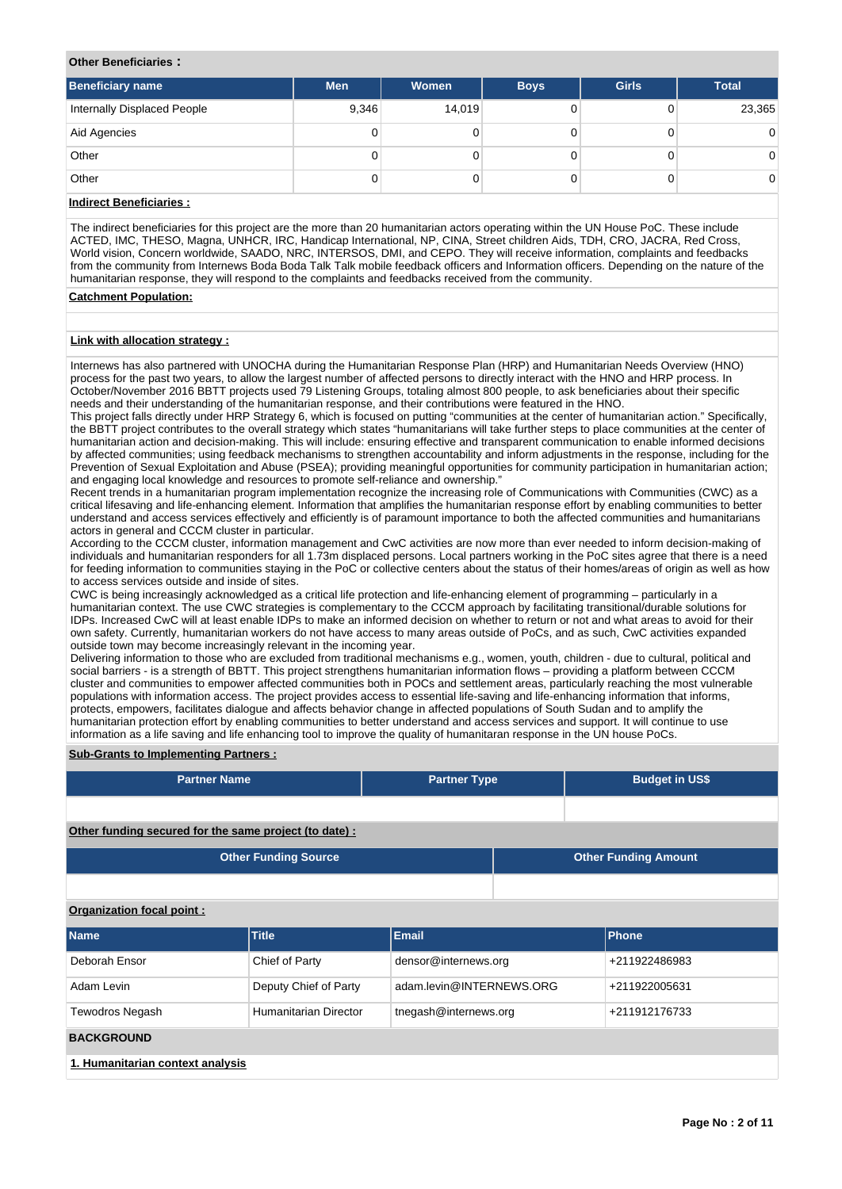#### **Other Beneficiaries :**

| <b>Beneficiary name</b>     | <b>Men</b> | Women  | <b>Boys</b> | <b>Girls</b> | <b>Total</b>   |
|-----------------------------|------------|--------|-------------|--------------|----------------|
| Internally Displaced People | 9,346      | 14,019 |             |              | 23,365         |
| Aid Agencies                | 0          |        |             |              | $\overline{0}$ |
| Other                       | 0          |        |             |              | $\overline{0}$ |
| Other                       | 0          |        |             |              | $\overline{0}$ |

# **Indirect Beneficiaries :**

The indirect beneficiaries for this project are the more than 20 humanitarian actors operating within the UN House PoC. These include ACTED, IMC, THESO, Magna, UNHCR, IRC, Handicap International, NP, CINA, Street children Aids, TDH, CRO, JACRA, Red Cross, World vision, Concern worldwide, SAADO, NRC, INTERSOS, DMI, and CEPO. They will receive information, complaints and feedbacks from the community from Internews Boda Boda Talk Talk mobile feedback officers and Information officers. Depending on the nature of the humanitarian response, they will respond to the complaints and feedbacks received from the community.

## **Catchment Population:**

## **Link with allocation strategy :**

Internews has also partnered with UNOCHA during the Humanitarian Response Plan (HRP) and Humanitarian Needs Overview (HNO) process for the past two years, to allow the largest number of affected persons to directly interact with the HNO and HRP process. In October/November 2016 BBTT projects used 79 Listening Groups, totaling almost 800 people, to ask beneficiaries about their specific needs and their understanding of the humanitarian response, and their contributions were featured in the HNO.

This project falls directly under HRP Strategy 6, which is focused on putting "communities at the center of humanitarian action." Specifically, the BBTT project contributes to the overall strategy which states "humanitarians will take further steps to place communities at the center of humanitarian action and decision-making. This will include: ensuring effective and transparent communication to enable informed decisions by affected communities; using feedback mechanisms to strengthen accountability and inform adjustments in the response, including for the Prevention of Sexual Exploitation and Abuse (PSEA); providing meaningful opportunities for community participation in humanitarian action; and engaging local knowledge and resources to promote self-reliance and ownership."

Recent trends in a humanitarian program implementation recognize the increasing role of Communications with Communities (CWC) as a critical lifesaving and life-enhancing element. Information that amplifies the humanitarian response effort by enabling communities to better understand and access services effectively and efficiently is of paramount importance to both the affected communities and humanitarians actors in general and CCCM cluster in particular.

According to the CCCM cluster, information management and CwC activities are now more than ever needed to inform decision-making of individuals and humanitarian responders for all 1.73m displaced persons. Local partners working in the PoC sites agree that there is a need for feeding information to communities staying in the PoC or collective centers about the status of their homes/areas of origin as well as how to access services outside and inside of sites.

CWC is being increasingly acknowledged as a critical life protection and life-enhancing element of programming – particularly in a humanitarian context. The use CWC strategies is complementary to the CCCM approach by facilitating transitional/durable solutions for IDPs. Increased CwC will at least enable IDPs to make an informed decision on whether to return or not and what areas to avoid for their own safety. Currently, humanitarian workers do not have access to many areas outside of PoCs, and as such, CwC activities expanded outside town may become increasingly relevant in the incoming year.

Delivering information to those who are excluded from traditional mechanisms e.g., women, youth, children - due to cultural, political and social barriers - is a strength of BBTT. This project strengthens humanitarian information flows – providing a platform between CCCM cluster and communities to empower affected communities both in POCs and settlement areas, particularly reaching the most vulnerable populations with information access. The project provides access to essential life-saving and life-enhancing information that informs, protects, empowers, facilitates dialogue and affects behavior change in affected populations of South Sudan and to amplify the humanitarian protection effort by enabling communities to better understand and access services and support. It will continue to use information as a life saving and life enhancing tool to improve the quality of humanitaran response in the UN house PoCs.

## **Sub-Grants to Implementing Partners :**

| <b>Partner Name</b>                                   | <b>Partner Type</b> | <b>Budget in US\$</b>       |
|-------------------------------------------------------|---------------------|-----------------------------|
|                                                       |                     |                             |
| Other funding secured for the same project (to date): |                     |                             |
| <b>Other Funding Source</b>                           |                     | <b>Other Funding Amount</b> |

# **Organization focal point :**

| <b>Name</b>                      | <b>Title</b>          | Email                    | <b>Phone</b>  |  |  |  |  |  |  |  |
|----------------------------------|-----------------------|--------------------------|---------------|--|--|--|--|--|--|--|
| Deborah Ensor                    | Chief of Party        | densor@internews.org     | +211922486983 |  |  |  |  |  |  |  |
| Adam Levin                       | Deputy Chief of Party | adam.levin@INTERNEWS.ORG | +211922005631 |  |  |  |  |  |  |  |
| <b>Tewodros Negash</b>           | Humanitarian Director | tnegash@internews.org    | +211912176733 |  |  |  |  |  |  |  |
| <b>BACKGROUND</b>                |                       |                          |               |  |  |  |  |  |  |  |
| 1. Humanitarian context analysis |                       |                          |               |  |  |  |  |  |  |  |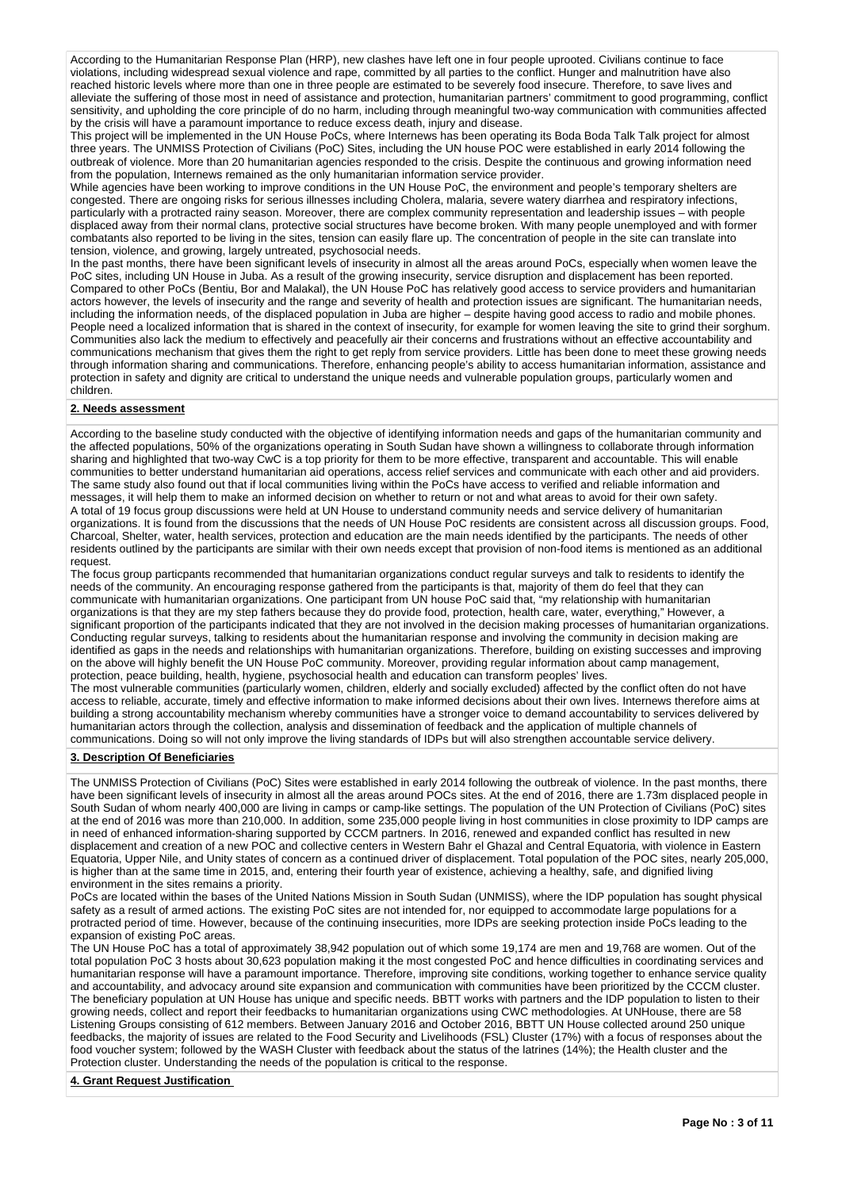According to the Humanitarian Response Plan (HRP), new clashes have left one in four people uprooted. Civilians continue to face violations, including widespread sexual violence and rape, committed by all parties to the conflict. Hunger and malnutrition have also reached historic levels where more than one in three people are estimated to be severely food insecure. Therefore, to save lives and alleviate the suffering of those most in need of assistance and protection, humanitarian partners' commitment to good programming, conflict sensitivity, and upholding the core principle of do no harm, including through meaningful two-way communication with communities affected by the crisis will have a paramount importance to reduce excess death, injury and disease.

This project will be implemented in the UN House PoCs, where Internews has been operating its Boda Boda Talk Talk project for almost three years. The UNMISS Protection of Civilians (PoC) Sites, including the UN house POC were established in early 2014 following the UN house Poches including the UN house POC were established in early 2014 following the outbreak of violence. More than 20 humanitarian agencies responded to the crisis. Despite the continuous and growing information need from the population, Internews remained as the only humanitarian information service provider.

While agencies have been working to improve conditions in the UN House PoC, the environment and people's temporary shelters are congested. There are ongoing risks for serious illnesses including Cholera, malaria, severe watery diarrhea and respiratory infections, particularly with a protracted rainy season. Moreover, there are complex community representation and leadership issues – with people displaced away from their normal clans, protective social structures have become broken. With many people unemployed and with former combatants also reported to be living in the sites, tension can easily flare up. The concentration of people in the site can translate into tension, violence, and growing, largely untreated, psychosocial needs.

In the past months, there have been significant levels of insecurity in almost all the areas around PoCs, especially when women leave the PoC sites, including UN House in Juba. As a result of the growing insecurity, service disruption and displacement has been reported. Compared to other PoCs (Bentiu, Bor and Malakal), the UN House PoC has relatively good access to service providers and humanitarian actors however, the levels of insecurity and the range and severity of health and protection issues are significant. The humanitarian needs, including the information needs, of the displaced population in Juba are higher – despite having good access to radio and mobile phones. People need a localized information that is shared in the context of insecurity, for example for women leaving the site to grind their sorghum. Communities also lack the medium to effectively and peacefully air their concerns and frustrations without an effective accountability and communications mechanism that gives them the right to get reply from service providers. Little has been done to meet these growing needs through information sharing and communications. Therefore, enhancing people's ability to access humanitarian information, assistance and protection in safety and dignity are critical to understand the unique needs and vulnerable population groups, particularly women and children.

# **2. Needs assessment**

According to the baseline study conducted with the objective of identifying information needs and gaps of the humanitarian community and the affected populations, 50% of the organizations operating in South Sudan have shown a willingness to collaborate through information sharing and highlighted that two-way CwC is a top priority for them to be more effective, transparent and accountable. This will enable communities to better understand humanitarian aid operations, access relief services and communicate with each other and aid providers. The same study also found out that if local communities living within the PoCs have access to verified and reliable information and messages, it will help them to make an informed decision on whether to return or not and what areas to avoid for their own safety. A total of 19 focus group discussions were held at UN House to understand community needs and service delivery of humanitarian organizations. It is found from the discussions that the needs of UN House PoC residents are consistent across all discussion groups. Food, Charcoal, Shelter, water, health services, protection and education are the main needs identified by the participants. The needs of other residents outlined by the participants are similar with their own needs except that provision of non-food items is mentioned as an additional request.

The focus group particpants recommended that humanitarian organizations conduct regular surveys and talk to residents to identify the needs of the community. An encouraging response gathered from the participants is that, majority of them do feel that they can communicate with humanitarian organizations. One participant from UN house PoC said that, "my relationship with humanitarian organizations is that they are my step fathers because they do provide food, protection, health care, water, everything," However, a significant proportion of the participants indicated that they are not involved in the decision making processes of humanitarian organizations. Conducting regular surveys, talking to residents about the humanitarian response and involving the community in decision making are identified as gaps in the needs and relationships with humanitarian organizations. Therefore, building on existing successes and improving on the above will highly benefit the UN House PoC community. Moreover, providing regular information about camp management, protection, peace building, health, hygiene, psychosocial health and education can transform peoples' lives.

The most vulnerable communities (particularly women, children, elderly and socially excluded) affected by the conflict often do not have access to reliable, accurate, timely and effective information to make informed decisions about their own lives. Internews therefore aims at building a strong accountability mechanism whereby communities have a stronger voice to demand accountability to services delivered by humanitarian actors through the collection, analysis and dissemination of feedback and the application of multiple channels of communications. Doing so will not only improve the living standards of IDPs but will also strengthen accountable service delivery.

## **3. Description Of Beneficiaries**

The UNMISS Protection of Civilians (PoC) Sites were established in early 2014 following the outbreak of violence. In the past months, there have been significant levels of insecurity in almost all the areas around POCs sites. At the end of 2016, there are 1.73m displaced people in South Sudan of whom nearly 400,000 are living in camps or camp-like settings. The population of the UN Protection of Civilians (PoC) sites at the end of 2016 was more than 210,000. In addition, some 235,000 people living in host communities in close proximity to IDP camps are in need of enhanced information-sharing supported by CCCM partners. In 2016, renewed and expanded conflict has resulted in new displacement and creation of a new POC and collective centers in Western Bahr el Ghazal and Central Equatoria, with violence in Eastern Equatoria, Upper Nile, and Unity states of concern as a continued driver of displacement. Total population of the POC sites, nearly 205,000, is higher than at the same time in 2015, and, entering their fourth year of existence, achieving a healthy, safe, and dignified living environment in the sites remains a priority.

PoCs are located within the bases of the United Nations Mission in South Sudan (UNMISS), where the IDP population has sought physical safety as a result of armed actions. The existing PoC sites are not intended for, nor equipped to accommodate large populations for a protracted period of time. However, because of the continuing insecurities, more IDPs are seeking protection inside PoCs leading to the expansion of existing PoC areas.

The UN House PoC has a total of approximately 38,942 population out of which some 19,174 are men and 19,768 are women. Out of the total population PoC 3 hosts about 30,623 population making it the most congested PoC and hence difficulties in coordinating services and humanitarian response will have a paramount importance. Therefore, improving site conditions, working together to enhance service quality and accountability, and advocacy around site expansion and communication with communities have been prioritized by the CCCM cluster. The beneficiary population at UN House has unique and specific needs. BBTT works with partners and the IDP population to listen to their growing needs, collect and report their feedbacks to humanitarian organizations using CWC methodologies. At UNHouse, there are 58 Listening Groups consisting of 612 members. Between January 2016 and October 2016, BBTT UN House collected around 250 unique feedbacks, the majority of issues are related to the Food Security and Livelihoods (FSL) Cluster (17%) with a focus of responses about the food voucher system; followed by the WASH Cluster with feedback about the status of the latrines (14%); the Health cluster and the Protection cluster. Understanding the needs of the population is critical to the response.

**4. Grant Request Justification**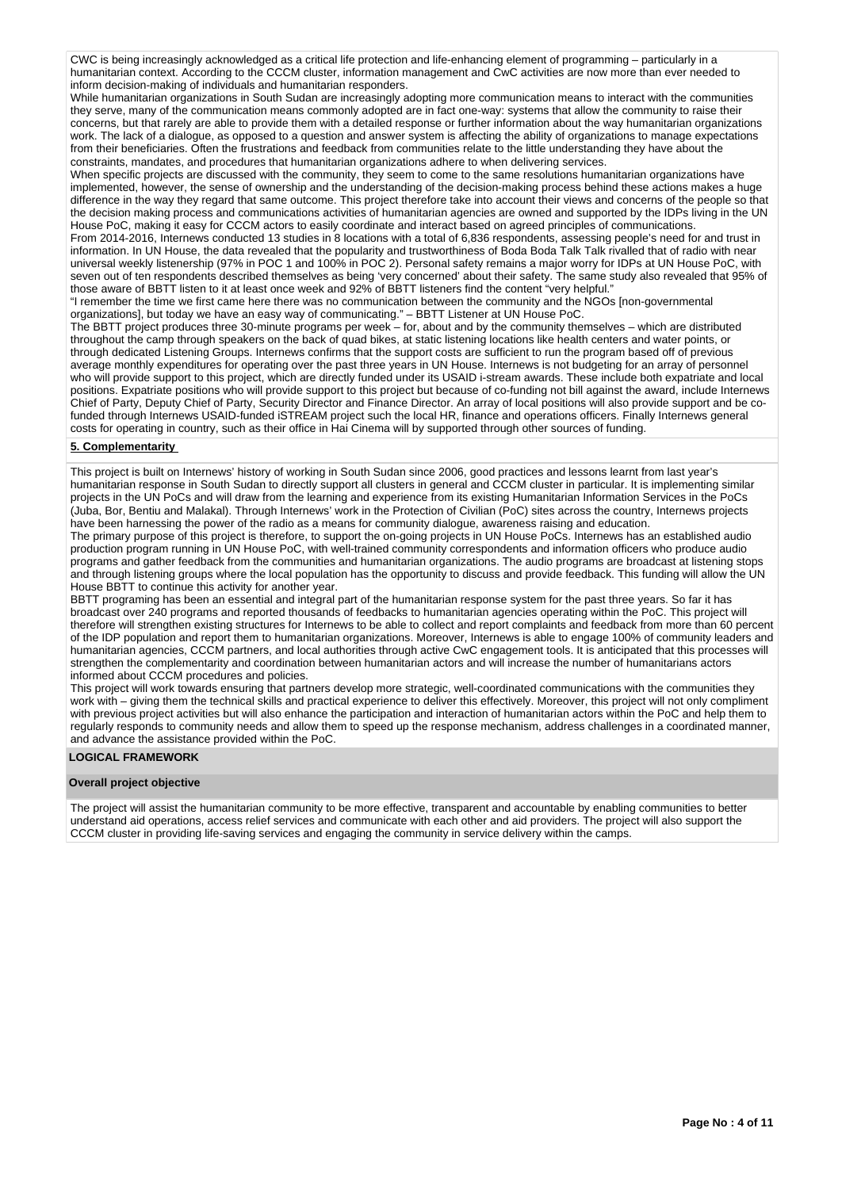CWC is being increasingly acknowledged as a critical life protection and life-enhancing element of programming – particularly in a humanitarian context. According to the CCCM cluster, information management and CwC activities are now more than ever needed to inform decision-making of individuals and humanitarian responders.

While humanitarian organizations in South Sudan are increasingly adopting more communication means to interact with the communities they serve, many of the communication means commonly adopted are in fact one-way: systems that allow the community to raise their concerns, but that rarely are able to provide them with a detailed response or further information about the way humanitarian organizations work. The lack of a dialogue, as opposed to a question and answer system is affecting the ability of organizations to manage expectations from their beneficiaries. Often the frustrations and feedback from communities relate to the little understanding they have about the constraints, mandates, and procedures that humanitarian organizations adhere to when delivering services.

When specific projects are discussed with the community, they seem to come to the same resolutions humanitarian organizations have implemented, however, the sense of ownership and the understanding of the decision-making process behind these actions makes a huge difference in the way they regard that same outcome. This project therefore take into account their views and concerns of the people so that the decision making process and communications activities of humanitarian agencies are owned and supported by the IDPs living in the UN House PoC, making it easy for CCCM actors to easily coordinate and interact based on agreed principles of communications.

From 2014-2016, Internews conducted 13 studies in 8 locations with a total of 6,836 respondents, assessing people's need for and trust in information. In UN House, the data revealed that the popularity and trustworthiness of Boda Boda Talk Talk rivalled that of radio with near universal weekly listenership (97% in POC 1 and 100% in POC 2). Personal safety remains a major worry for IDPs at UN House PoC, with seven out of ten respondents described themselves as being 'very concerned' about their safety. The same study also revealed that 95% of those aware of BBTT listen to it at least once week and 92% of BBTT listeners find the content "very helpful."

"I remember the time we first came here there was no communication between the community and the NGOs [non-governmental organizations], but today we have an easy way of communicating." – BBTT Listener at UN House PoC.

The BBTT project produces three 30-minute programs per week – for, about and by the community themselves – which are distributed throughout the camp through speakers on the back of quad bikes, at static listening locations like health centers and water points, or through dedicated Listening Groups. Internews confirms that the support costs are sufficient to run the program based off of previous average monthly expenditures for operating over the past three years in UN House. Internews is not budgeting for an array of personnel who will provide support to this project, which are directly funded under its USAID i-stream awards. These include both expatriate and local positions. Expatriate positions who will provide support to this project but because of co-funding not bill against the award, include Internews Chief of Party, Deputy Chief of Party, Security Director and Finance Director. An array of local positions will also provide support and be cofunded through Internews USAID-funded iSTREAM project such the local HR, finance and operations officers. Finally Internews general costs for operating in country, such as their office in Hai Cinema will by supported through other sources of funding.

## **5. Complementarity**

This project is built on Internews' history of working in South Sudan since 2006, good practices and lessons learnt from last year's humanitarian response in South Sudan to directly support all clusters in general and CCCM cluster in particular. It is implementing similar projects in the UN PoCs and will draw from the learning and experience from its existing Humanitarian Information Services in the PoCs (Juba, Bor, Bentiu and Malakal). Through Internews' work in the Protection of Civilian (PoC) sites across the country, Internews projects have been harnessing the power of the radio as a means for community dialogue, awareness raising and education.

The primary purpose of this project is therefore, to support the on-going projects in UN House PoCs. Internews has an established audio production program running in UN House PoC, with well-trained community correspondents and information officers who produce audio programs and gather feedback from the communities and humanitarian organizations. The audio programs are broadcast at listening stops and through listening groups where the local population has the opportunity to discuss and provide feedback. This funding will allow the UN House BBTT to continue this activity for another year.

BBTT programing has been an essential and integral part of the humanitarian response system for the past three years. So far it has broadcast over 240 programs and reported thousands of feedbacks to humanitarian agencies operating within the PoC. This project will therefore will strengthen existing structures for Internews to be able to collect and report complaints and feedback from more than 60 percent of the IDP population and report them to humanitarian organizations. Moreover, Internews is able to engage 100% of community leaders and humanitarian agencies, CCCM partners, and local authorities through active CwC engagement tools. It is anticipated that this processes will strengthen the complementarity and coordination between humanitarian actors and will increase the number of humanitarians actors informed about CCCM procedures and policies.

This project will work towards ensuring that partners develop more strategic, well-coordinated communications with the communities they work with – giving them the technical skills and practical experience to deliver this effectively. Moreover, this project will not only compliment with previous project activities but will also enhance the participation and interaction of humanitarian actors within the PoC and help them to regularly responds to community needs and allow them to speed up the response mechanism, address challenges in a coordinated manner, and advance the assistance provided within the PoC.

#### **LOGICAL FRAMEWORK**

#### **Overall project objective**

The project will assist the humanitarian community to be more effective, transparent and accountable by enabling communities to better understand aid operations, access relief services and communicate with each other and aid providers. The project will also support the CCCM cluster in providing life-saving services and engaging the community in service delivery within the camps.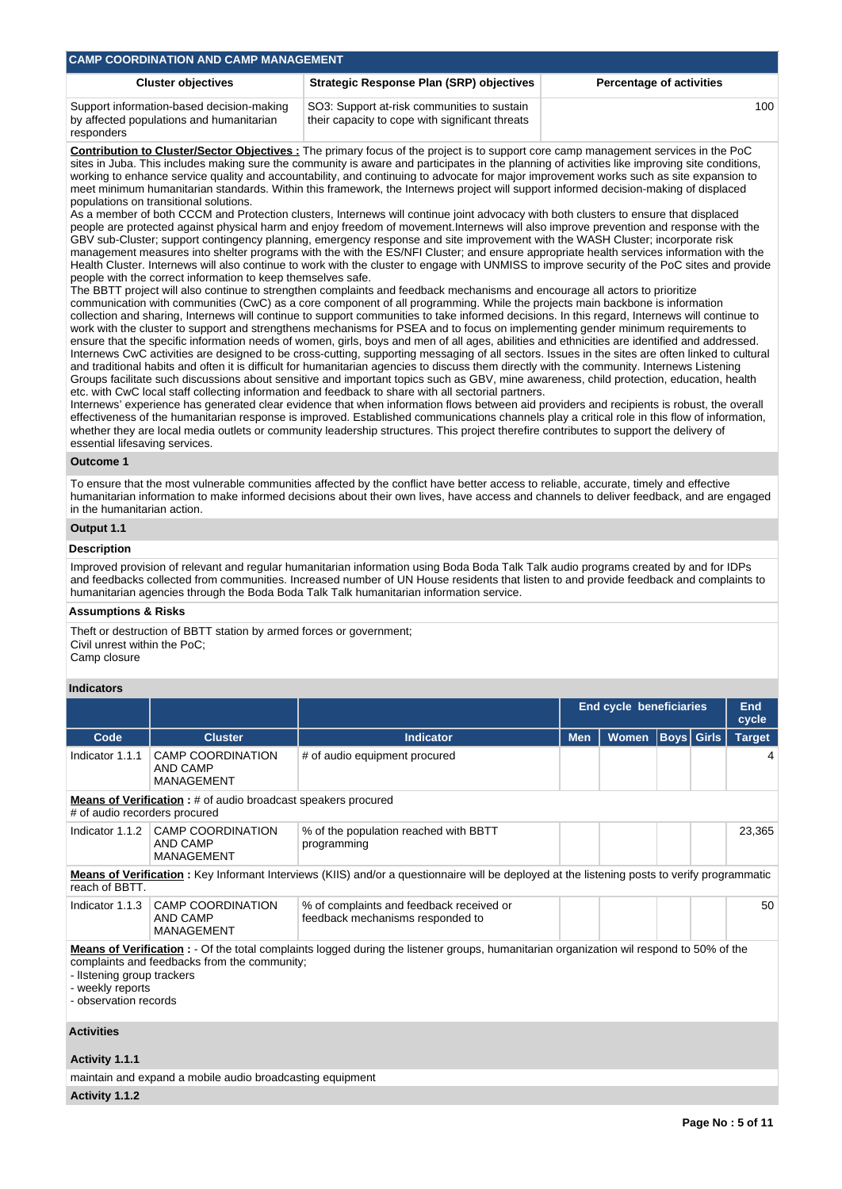| <b>CAMP COORDINATION AND CAMP MANAGEMENT</b>                                                                    |                                                                                                |     |  |  |  |  |  |  |  |  |
|-----------------------------------------------------------------------------------------------------------------|------------------------------------------------------------------------------------------------|-----|--|--|--|--|--|--|--|--|
| <b>Strategic Response Plan (SRP) objectives</b><br><b>Cluster objectives</b><br><b>Percentage of activities</b> |                                                                                                |     |  |  |  |  |  |  |  |  |
| Support information-based decision-making<br>by affected populations and humanitarian                           | SO3: Support at-risk communities to sustain<br>their capacity to cope with significant threats | 100 |  |  |  |  |  |  |  |  |

**Contribution to Cluster/Sector Objectives :** The primary focus of the project is to support core camp management services in the PoC sites in Juba. This includes making sure the community is aware and participates in the planning of activities like improving site conditions, working to enhance service quality and accountability, and continuing to advocate for major improvement works such as site expansion to meet minimum humanitarian standards. Within this framework, the Internews project will support informed decision-making of displaced populations on transitional solutions.

As a member of both CCCM and Protection clusters, Internews will continue joint advocacy with both clusters to ensure that displaced people are protected against physical harm and enjoy freedom of movement.Internews will also improve prevention and response with the GBV sub-Cluster; support contingency planning, emergency response and site improvement with the WASH Cluster; incorporate risk management measures into shelter programs with the with the ES/NFI Cluster; and ensure appropriate health services information with the Health Cluster. Internews will also continue to work with the cluster to engage with UNMISS to improve security of the PoC sites and provide people with the correct information to keep themselves safe.

The BBTT project will also continue to strengthen complaints and feedback mechanisms and encourage all actors to prioritize communication with communities (CwC) as a core component of all programming. While the projects main backbone is information collection and sharing, Internews will continue to support communities to take informed decisions. In this regard, Internews will continue to work with the cluster to support and strengthens mechanisms for PSEA and to focus on implementing gender minimum requirements to ensure that the specific information needs of women, girls, boys and men of all ages, abilities and ethnicities are identified and addressed. Internews CwC activities are designed to be cross-cutting, supporting messaging of all sectors. Issues in the sites are often linked to cultural and traditional habits and often it is difficult for humanitarian agencies to discuss them directly with the community. Internews Listening Groups facilitate such discussions about sensitive and important topics such as GBV, mine awareness, child protection, education, health etc. with CwC local staff collecting information and feedback to share with all sectorial partners.

Internews' experience has generated clear evidence that when information flows between aid providers and recipients is robust, the overall effectiveness of the humanitarian response is improved. Established communications channels play a critical role in this flow of information, whether they are local media outlets or community leadership structures. This project therefire contributes to support the delivery of essential lifesaving services.

#### **Outcome 1**

responders

To ensure that the most vulnerable communities affected by the conflict have better access to reliable, accurate, timely and effective humanitarian information to make informed decisions about their own lives, have access and channels to deliver feedback, and are engaged in the humanitarian action.

## **Output 1.1**

## **Description**

Improved provision of relevant and regular humanitarian information using Boda Boda Talk Talk audio programs created by and for IDPs and feedbacks collected from communities. Increased number of UN House residents that listen to and provide feedback and complaints to humanitarian agencies through the Boda Boda Talk Talk humanitarian information service.

#### **Assumptions & Risks**

Theft or destruction of BBTT station by armed forces or government; Civil unrest within the PoC; Camp closure

#### **Indicators**

|                                                                                         |                                                                                                                                                                                                                                                        |                                                                                                                                                      | <b>End cycle beneficiaries</b> | <b>End</b><br>cycle |  |                   |               |  |  |  |
|-----------------------------------------------------------------------------------------|--------------------------------------------------------------------------------------------------------------------------------------------------------------------------------------------------------------------------------------------------------|------------------------------------------------------------------------------------------------------------------------------------------------------|--------------------------------|---------------------|--|-------------------|---------------|--|--|--|
| Code                                                                                    | <b>Cluster</b>                                                                                                                                                                                                                                         | <b>Women</b><br><b>Indicator</b><br><b>Men</b>                                                                                                       |                                |                     |  | <b>Boys Girls</b> | <b>Target</b> |  |  |  |
| Indicator 1.1.1                                                                         | <b>CAMP COORDINATION</b><br>AND CAMP<br><b>MANAGEMENT</b>                                                                                                                                                                                              | # of audio equipment procured                                                                                                                        |                                |                     |  |                   |               |  |  |  |
| # of audio recorders procured                                                           | <b>Means of Verification</b> : # of audio broadcast speakers procured                                                                                                                                                                                  |                                                                                                                                                      |                                |                     |  |                   |               |  |  |  |
| Indicator 1.1.2                                                                         | <b>CAMP COORDINATION</b><br>AND CAMP<br><b>MANAGEMENT</b>                                                                                                                                                                                              | % of the population reached with BBTT<br>programming                                                                                                 |                                |                     |  |                   | 23,365        |  |  |  |
| reach of BBTT.                                                                          |                                                                                                                                                                                                                                                        | <b>Means of Verification</b> : Key Informant Interviews (KIIS) and/or a questionnaire will be deployed at the listening posts to verify programmatic |                                |                     |  |                   |               |  |  |  |
| Indicator 1.1.3                                                                         | <b>CAMP COORDINATION</b><br>AND CAMP<br><b>MANAGEMENT</b>                                                                                                                                                                                              | % of complaints and feedback received or<br>feedback mechanisms responded to                                                                         |                                |                     |  |                   | 50            |  |  |  |
| - weekly reports<br>$\mathbf{A}$ and $\mathbf{A}$ are all $\mathbf{A}$ and $\mathbf{A}$ | <b>Means of Verification</b> : - Of the total complaints logged during the listener groups, humanitarian organization wil respond to 50% of the<br>complaints and feedbacks from the community;<br>- Ilstening group trackers<br>- observation records |                                                                                                                                                      |                                |                     |  |                   |               |  |  |  |

#### **Activities**

## **Activity 1.1.1**

maintain and expand a mobile audio broadcasting equipment

**Activity 1.1.2**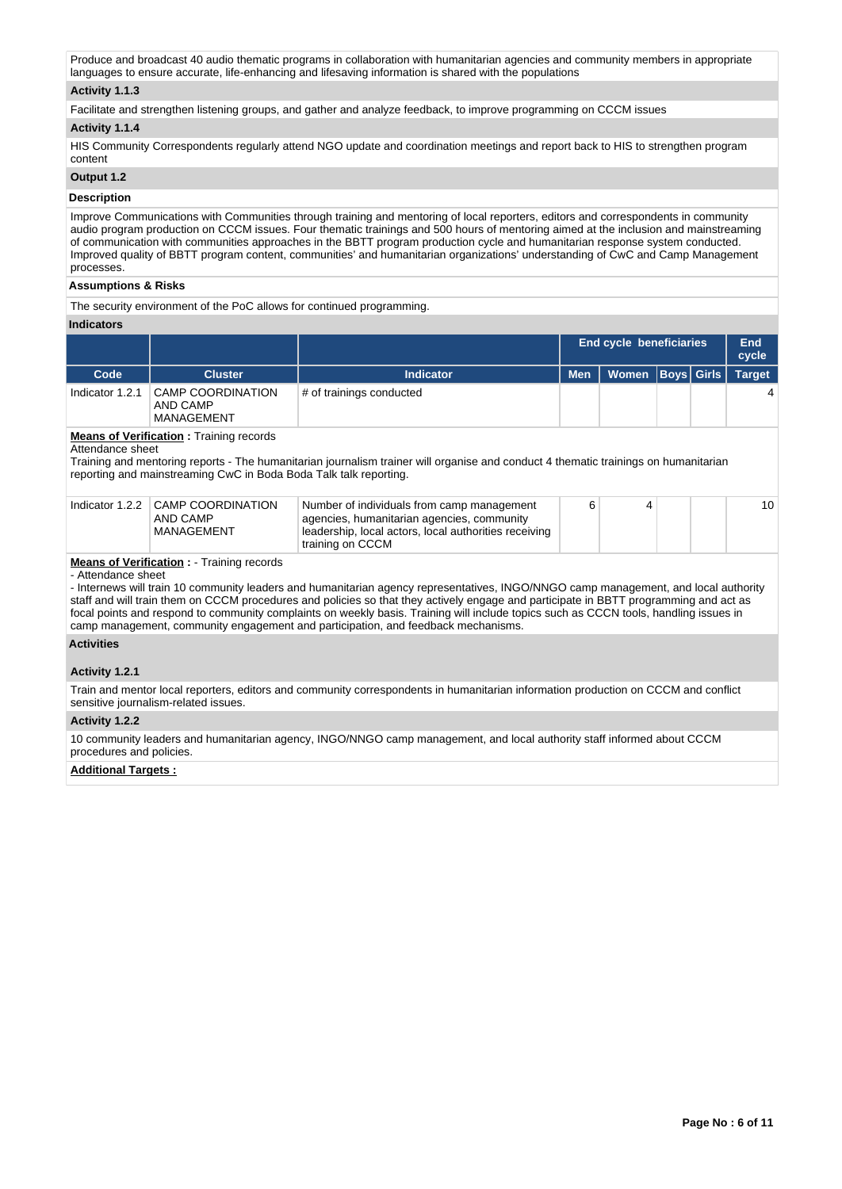Produce and broadcast 40 audio thematic programs in collaboration with humanitarian agencies and community members in appropriate languages to ensure accurate, life-enhancing and lifesaving information is shared with the populations

## **Activity 1.1.3**

Facilitate and strengthen listening groups, and gather and analyze feedback, to improve programming on CCCM issues

#### **Activity 1.1.4**

HIS Community Correspondents regularly attend NGO update and coordination meetings and report back to HIS to strengthen program content

## **Output 1.2**

## **Description**

Improve Communications with Communities through training and mentoring of local reporters, editors and correspondents in community audio program production on CCCM issues. Four thematic trainings and 500 hours of mentoring aimed at the inclusion and mainstreaming of communication with communities approaches in the BBTT program production cycle and humanitarian response system conducted. Improved quality of BBTT program content, communities' and humanitarian organizations' understanding of CwC and Camp Management processes.

#### **Assumptions & Risks**

The security environment of the PoC allows for continued programming.

#### **Indicators**

|                 |                                                    |                          | <b>End cycle beneficiaries</b> |                      |  |  | End<br>cycle  |
|-----------------|----------------------------------------------------|--------------------------|--------------------------------|----------------------|--|--|---------------|
| Code            | <b>Cluster</b>                                     | <b>Indicator</b>         | <b>Men</b>                     | Women   Boys   Girls |  |  | <b>Target</b> |
| Indicator 1.2.1 | CAMP COORDINATION<br>AND CAMP<br><b>MANAGEMENT</b> | # of trainings conducted |                                |                      |  |  |               |

## **Means of Verification : Training records**

Attendance sheet

Training and mentoring reports - The humanitarian journalism trainer will organise and conduct 4 thematic trainings on humanitarian reporting and mainstreaming CwC in Boda Boda Talk talk reporting.

| Indicator 1.2.2 CAMP COORDINATION<br>AND CAMP | Number of individuals from camp management<br>agencies, humanitarian agencies, community |  |  | 10 |
|-----------------------------------------------|------------------------------------------------------------------------------------------|--|--|----|
| MANAGEMENT                                    | leadership, local actors, local authorities receiving<br>training on CCCM                |  |  |    |

# **Means of Verification :** - Training records

- Attendance sheet

- Internews will train 10 community leaders and humanitarian agency representatives, INGO/NNGO camp management, and local authority staff and will train them on CCCM procedures and policies so that they actively engage and participate in BBTT programming and act as focal points and respond to community complaints on weekly basis. Training will include topics such as CCCN tools, handling issues in camp management, community engagement and participation, and feedback mechanisms.

# **Activities**

#### **Activity 1.2.1**

Train and mentor local reporters, editors and community correspondents in humanitarian information production on CCCM and conflict sensitive journalism-related issues.

#### **Activity 1.2.2**

10 community leaders and humanitarian agency, INGO/NNGO camp management, and local authority staff informed about CCCM procedures and policies.

#### **Additional Targets :**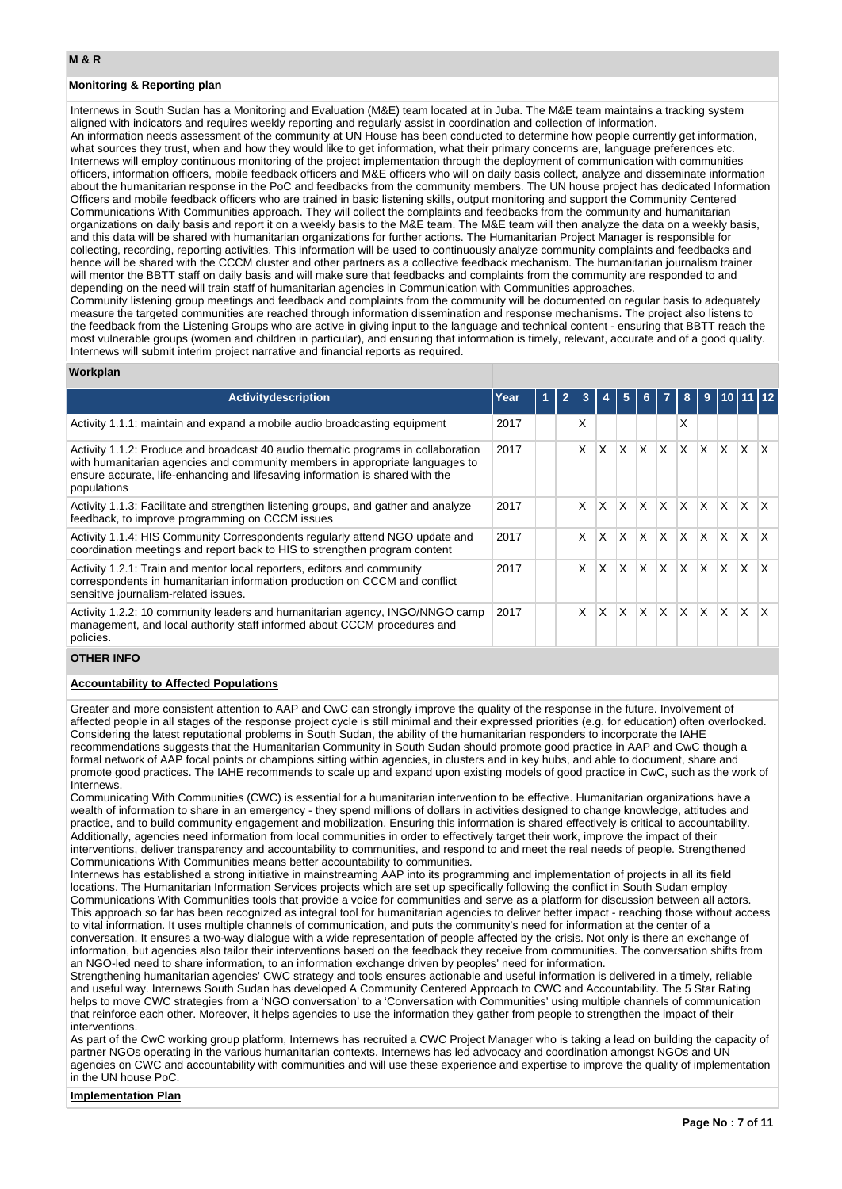# **Monitoring & Reporting plan**

Internews in South Sudan has a Monitoring and Evaluation (M&E) team located at in Juba. The M&E team maintains a tracking system aligned with indicators and requires weekly reporting and regularly assist in coordination and collection of information. An information needs assessment of the community at UN House has been conducted to determine how people currently get information, what sources they trust, when and how they would like to get information, what their primary concerns are, language preferences etc. Internews will employ continuous monitoring of the project implementation through the deployment of communication with communities officers, information officers, mobile feedback officers and M&E officers who will on daily basis collect, analyze and disseminate information about the humanitarian response in the PoC and feedbacks from the community members. The UN house project has dedicated Information Officers and mobile feedback officers who are trained in basic listening skills, output monitoring and support the Community Centered Communications With Communities approach. They will collect the complaints and feedbacks from the community and humanitarian organizations on daily basis and report it on a weekly basis to the M&E team. The M&E team will then analyze the data on a weekly basis, and this data will be shared with humanitarian organizations for further actions. The Humanitarian Project Manager is responsible for collecting, recording, reporting activities. This information will be used to continuously analyze community complaints and feedbacks and hence will be shared with the CCCM cluster and other partners as a collective feedback mechanism. The humanitarian journalism trainer will mentor the BBTT staff on daily basis and will make sure that feedbacks and complaints from the community are responded to and depending on the need will train staff of humanitarian agencies in Communication with Communities approaches. Community listening group meetings and feedback and complaints from the community will be documented on regular basis to adequately

measure the targeted communities are reached through information dissemination and response mechanisms. The project also listens to the feedback from the Listening Groups who are active in giving input to the language and technical content - ensuring that BBTT reach the most vulnerable groups (women and children in particular), and ensuring that information is timely, relevant, accurate and of a good quality. Internews will submit interim project narrative and financial reports as required.

#### **Workplan**

| <b>Activitydescription</b>                                                                                                                                                                                                                                        | Year | 1 | 3 |          | 5            |                         |          | 8            | 9        |              |          |    |
|-------------------------------------------------------------------------------------------------------------------------------------------------------------------------------------------------------------------------------------------------------------------|------|---|---|----------|--------------|-------------------------|----------|--------------|----------|--------------|----------|----|
| Activity 1.1.1: maintain and expand a mobile audio broadcasting equipment                                                                                                                                                                                         | 2017 |   | X |          |              |                         |          | X            |          |              |          |    |
| Activity 1.1.2: Produce and broadcast 40 audio thematic programs in collaboration<br>with humanitarian agencies and community members in appropriate languages to<br>ensure accurate, life-enhancing and lifesaving information is shared with the<br>populations | 2017 |   | X | X        | X            | $\mathsf{X}$            | X.       | X.           | X        | <b>X</b>     | X        | X  |
| Activity 1.1.3: Facilitate and strengthen listening groups, and gather and analyze<br>feedback, to improve programming on CCCM issues                                                                                                                             | 2017 |   | X | X        | X            | $\mathsf{x}$            | X        | X.           | X.       | X.           | X        | X. |
| Activity 1.1.4: HIS Community Correspondents regularly attend NGO update and<br>coordination meetings and report back to HIS to strengthen program content                                                                                                        | 2017 |   | X | $\times$ | $\mathsf{x}$ | ΙX.                     | IX.      | <b>X</b>     | <b>X</b> | X.           | $\times$ | X. |
| Activity 1.2.1: Train and mentor local reporters, editors and community<br>correspondents in humanitarian information production on CCCM and conflict<br>sensitive journalism-related issues.                                                                     | 2017 |   | X | X        | $\times$     | $\overline{\mathsf{x}}$ | X.       | $\times$     | X        | $\mathsf{x}$ | X        | X  |
| Activity 1.2.2: 10 community leaders and humanitarian agency, INGO/NNGO camp<br>management, and local authority staff informed about CCCM procedures and<br>policies.                                                                                             | 2017 |   | X | X        | $\mathsf{x}$ | $\mathsf{x}$            | $\times$ | $\mathsf{x}$ | $\times$ | $\mathsf{x}$ | $\times$ | X  |

## **OTHER INFO**

## **Accountability to Affected Populations**

Greater and more consistent attention to AAP and CwC can strongly improve the quality of the response in the future. Involvement of affected people in all stages of the response project cycle is still minimal and their expressed priorities (e.g. for education) often overlooked. Considering the latest reputational problems in South Sudan, the ability of the humanitarian responders to incorporate the IAHE recommendations suggests that the Humanitarian Community in South Sudan should promote good practice in AAP and CwC though a formal network of AAP focal points or champions sitting within agencies, in clusters and in key hubs, and able to document, share and promote good practices. The IAHE recommends to scale up and expand upon existing models of good practice in CwC, such as the work of Internews.

Communicating With Communities (CWC) is essential for a humanitarian intervention to be effective. Humanitarian organizations have a wealth of information to share in an emergency - they spend millions of dollars in activities designed to change knowledge, attitudes and practice, and to build community engagement and mobilization. Ensuring this information is shared effectively is critical to accountability. Additionally, agencies need information from local communities in order to effectively target their work, improve the impact of their interventions, deliver transparency and accountability to communities, and respond to and meet the real needs of people. Strengthened Communications With Communities means better accountability to communities.

Internews has established a strong initiative in mainstreaming AAP into its programming and implementation of projects in all its field locations. The Humanitarian Information Services projects which are set up specifically following the conflict in South Sudan employ Communications With Communities tools that provide a voice for communities and serve as a platform for discussion between all actors. This approach so far has been recognized as integral tool for humanitarian agencies to deliver better impact - reaching those without access to vital information. It uses multiple channels of communication, and puts the community's need for information at the center of a conversation. It ensures a two-way dialogue with a wide representation of people affected by the crisis. Not only is there an exchange of information, but agencies also tailor their interventions based on the feedback they receive from communities. The conversation shifts from an NGO-led need to share information, to an information exchange driven by peoples' need for information.

Strengthening humanitarian agencies' CWC strategy and tools ensures actionable and useful information is delivered in a timely, reliable and useful way. Internews South Sudan has developed A Community Centered Approach to CWC and Accountability. The 5 Star Rating helps to move CWC strategies from a 'NGO conversation' to a 'Conversation with Communities' using multiple channels of communication that reinforce each other. Moreover, it helps agencies to use the information they gather from people to strengthen the impact of their interventions.

As part of the CwC working group platform, Internews has recruited a CWC Project Manager who is taking a lead on building the capacity of partner NGOs operating in the various humanitarian contexts. Internews has led advocacy and coordination amongst NGOs and UN agencies on CWC and accountability with communities and will use these experience and expertise to improve the quality of implementation in the UN house PoC.

#### **Implementation Plan**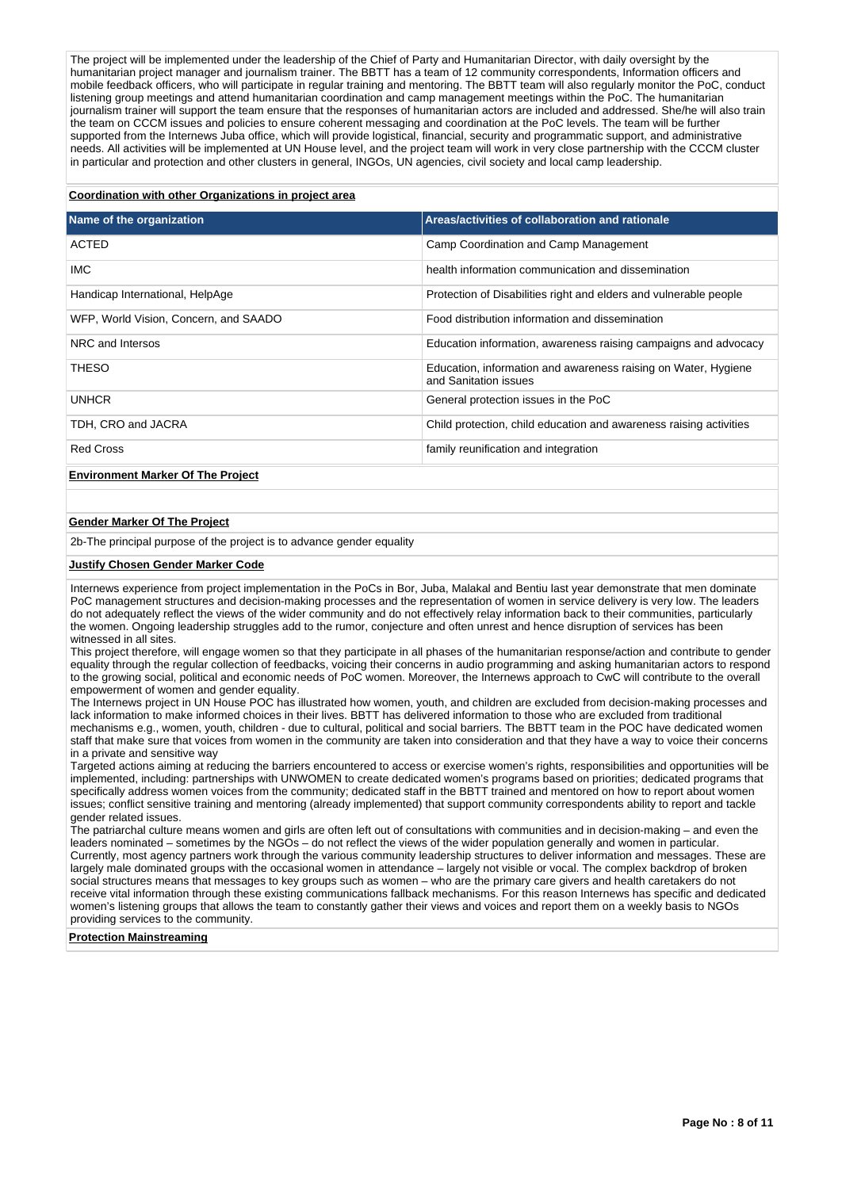The project will be implemented under the leadership of the Chief of Party and Humanitarian Director, with daily oversight by the humanitarian project manager and journalism trainer. The BBTT has a team of 12 community correspondents, Information officers and mobile feedback officers, who will participate in regular training and mentoring. The BBTT team will also regularly monitor the PoC, conduct listening group meetings and attend humanitarian coordination and camp management meetings within the PoC. The humanitarian journalism trainer will support the team ensure that the responses of humanitarian actors are included and addressed. She/he will also train the team on CCCM issues and policies to ensure coherent messaging and coordination at the PoC levels. The team will be further supported from the Internews Juba office, which will provide logistical, financial, security and programmatic support, and administrative needs. All activities will be implemented at UN House level, and the project team will work in very close partnership with the CCCM cluster in particular and protection and other clusters in general, INGOs, UN agencies, civil society and local camp leadership.

## **Coordination with other Organizations in project area**

| Name of the organization                 | Areas/activities of collaboration and rationale                                         |
|------------------------------------------|-----------------------------------------------------------------------------------------|
| ACTED                                    | Camp Coordination and Camp Management                                                   |
| IMC.                                     | health information communication and dissemination                                      |
| Handicap International, HelpAge          | Protection of Disabilities right and elders and vulnerable people                       |
| WFP, World Vision, Concern, and SAADO    | Food distribution information and dissemination                                         |
| NRC and Intersos                         | Education information, awareness raising campaigns and advocacy                         |
| <b>THESO</b>                             | Education, information and awareness raising on Water, Hygiene<br>and Sanitation issues |
| UNHCR                                    | General protection issues in the PoC                                                    |
| TDH, CRO and JACRA                       | Child protection, child education and awareness raising activities                      |
| <b>Red Cross</b>                         | family reunification and integration                                                    |
| <b>Environment Marker Of The Project</b> |                                                                                         |

#### **Gender Marker Of The Project**

2b-The principal purpose of the project is to advance gender equality

#### **Justify Chosen Gender Marker Code**

Internews experience from project implementation in the PoCs in Bor, Juba, Malakal and Bentiu last year demonstrate that men dominate PoC management structures and decision-making processes and the representation of women in service delivery is very low. The leaders do not adequately reflect the views of the wider community and do not effectively relay information back to their communities, particularly the women. Ongoing leadership struggles add to the rumor, conjecture and often unrest and hence disruption of services has been witnessed in all sites.

This project therefore, will engage women so that they participate in all phases of the humanitarian response/action and contribute to gender equality through the regular collection of feedbacks, voicing their concerns in audio programming and asking humanitarian actors to respond to the growing social, political and economic needs of PoC women. Moreover, the Internews approach to CwC will contribute to the overall empowerment of women and gender equality.

The Internews project in UN House POC has illustrated how women, youth, and children are excluded from decision-making processes and lack information to make informed choices in their lives. BBTT has delivered information to those who are excluded from traditional mechanisms e.g., women, youth, children - due to cultural, political and social barriers. The BBTT team in the POC have dedicated women staff that make sure that voices from women in the community are taken into consideration and that they have a way to voice their concerns in a private and sensitive way

Targeted actions aiming at reducing the barriers encountered to access or exercise women's rights, responsibilities and opportunities will be implemented, including: partnerships with UNWOMEN to create dedicated women's programs based on priorities; dedicated programs that specifically address women voices from the community; dedicated staff in the BBTT trained and mentored on how to report about women issues; conflict sensitive training and mentoring (already implemented) that support community correspondents ability to report and tackle gender related issues.

The patriarchal culture means women and girls are often left out of consultations with communities and in decision-making – and even the leaders nominated – sometimes by the NGOs – do not reflect the views of the wider population generally and women in particular. Currently, most agency partners work through the various community leadership structures to deliver information and messages. These are largely male dominated groups with the occasional women in attendance – largely not visible or vocal. The complex backdrop of broken social structures means that messages to key groups such as women – who are the primary care givers and health caretakers do not receive vital information through these existing communications fallback mechanisms. For this reason Internews has specific and dedicated women's listening groups that allows the team to constantly gather their views and voices and report them on a weekly basis to NGOs providing services to the community.

#### **Protection Mainstreaming**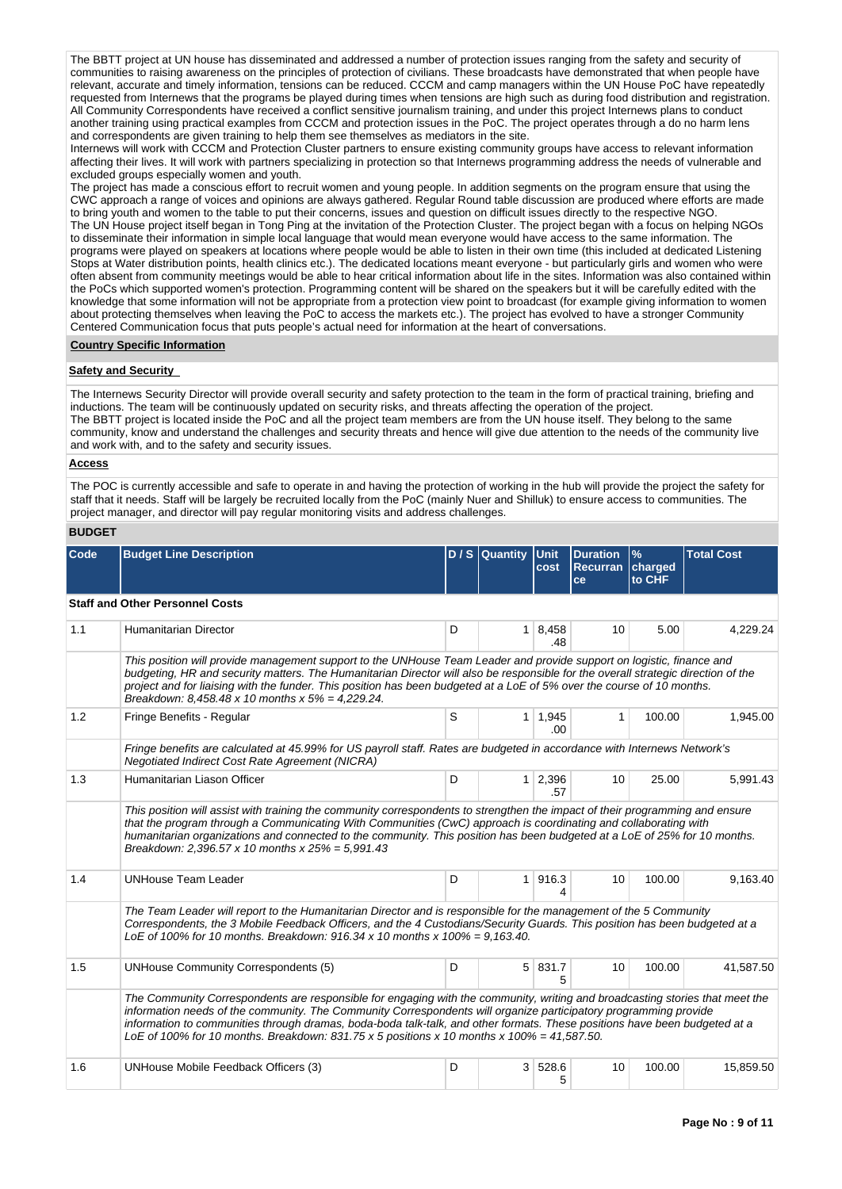The BBTT project at UN house has disseminated and addressed a number of protection issues ranging from the safety and security of communities to raising awareness on the principles of protection of civilians. These broadcasts have demonstrated that when people have relevant, accurate and timely information, tensions can be reduced. CCCM and camp managers within the UN House PoC have repeatedly requested from Internews that the programs be played during times when tensions are high such as during food distribution and registration. All Community Correspondents have received a conflict sensitive journalism training, and under this project Internews plans to conduct another training using practical examples from CCCM and protection issues in the PoC. The project operates through a do no harm lens and correspondents are given training to help them see themselves as mediators in the site.

Internews will work with CCCM and Protection Cluster partners to ensure existing community groups have access to relevant information affecting their lives. It will work with partners specializing in protection so that Internews programming address the needs of vulnerable and excluded groups especially women and youth.

The project has made a conscious effort to recruit women and young people. In addition segments on the program ensure that using the CWC approach a range of voices and opinions are always gathered. Regular Round table discussion are produced where efforts are made to bring youth and women to the table to put their concerns, issues and question on difficult issues directly to the respective NGO. The UN House project itself began in Tong Ping at the invitation of the Protection Cluster. The project began with a focus on helping NGOs to disseminate their information in simple local language that would mean everyone would have access to the same information. The programs were played on speakers at locations where people would be able to listen in their own time (this included at dedicated Listening Stops at Water distribution points, health clinics etc.). The dedicated locations meant everyone - but particularly girls and women who were often absent from community meetings would be able to hear critical information about life in the sites. Information was also contained within the PoCs which supported women's protection. Programming content will be shared on the speakers but it will be carefully edited with the knowledge that some information will not be appropriate from a protection view point to broadcast (for example giving information to women about protecting themselves when leaving the PoC to access the markets etc.). The project has evolved to have a stronger Community Centered Communication focus that puts people's actual need for information at the heart of conversations.

## **Country Specific Information**

#### **Safety and Security**

The Internews Security Director will provide overall security and safety protection to the team in the form of practical training, briefing and inductions. The team will be continuously updated on security risks, and threats affecting the operation of the project. The BBTT project is located inside the PoC and all the project team members are from the UN house itself. They belong to the same community, know and understand the challenges and security threats and hence will give due attention to the needs of the community live and work with, and to the safety and security issues.

#### **Access**

The POC is currently accessible and safe to operate in and having the protection of working in the hub will provide the project the safety for staff that it needs. Staff will be largely be recruited locally from the PoC (mainly Nuer and Shilluk) to ensure access to communities. The project manager, and director will pay regular monitoring visits and address challenges.

# **BUDGET**

| Code | <b>Budget Line Description</b>                                                                                                                                                                                                                                                                                                                                                                                                                                               |   | D / S Quantity Unit | cost                   | <b>Duration</b><br>Recurran charged<br>ce | $\frac{9}{6}$<br>to CHF | <b>Total Cost</b> |  |  |  |  |  |  |
|------|------------------------------------------------------------------------------------------------------------------------------------------------------------------------------------------------------------------------------------------------------------------------------------------------------------------------------------------------------------------------------------------------------------------------------------------------------------------------------|---|---------------------|------------------------|-------------------------------------------|-------------------------|-------------------|--|--|--|--|--|--|
|      | <b>Staff and Other Personnel Costs</b>                                                                                                                                                                                                                                                                                                                                                                                                                                       |   |                     |                        |                                           |                         |                   |  |  |  |  |  |  |
| 1.1  | Humanitarian Director                                                                                                                                                                                                                                                                                                                                                                                                                                                        | D |                     | 1 8,458<br>.48         | 10                                        | 5.00                    | 4,229.24          |  |  |  |  |  |  |
|      | This position will provide management support to the UNHouse Team Leader and provide support on logistic, finance and<br>budgeting, HR and security matters. The Humanitarian Director will also be responsible for the overall strategic direction of the<br>project and for liaising with the funder. This position has been budgeted at a LoE of 5% over the course of 10 months.<br>Breakdown: 8,458.48 x 10 months x $5% = 4,229.24$ .                                  |   |                     |                        |                                           |                         |                   |  |  |  |  |  |  |
| 1.2  | Fringe Benefits - Regular                                                                                                                                                                                                                                                                                                                                                                                                                                                    | S |                     | 1 1,945<br>.00.        | $\mathbf{1}$                              | 100.00                  | 1,945.00          |  |  |  |  |  |  |
|      | Fringe benefits are calculated at 45.99% for US payroll staff. Rates are budgeted in accordance with Internews Network's<br>Negotiated Indirect Cost Rate Agreement (NICRA)                                                                                                                                                                                                                                                                                                  |   |                     |                        |                                           |                         |                   |  |  |  |  |  |  |
| 1.3  | Humanitarian Liason Officer                                                                                                                                                                                                                                                                                                                                                                                                                                                  | D |                     | $1 \quad 2,396$<br>.57 | 10                                        | 25.00                   | 5,991.43          |  |  |  |  |  |  |
|      | This position will assist with training the community correspondents to strengthen the impact of their programming and ensure<br>that the program through a Communicating With Communities (CwC) approach is coordinating and collaborating with<br>humanitarian organizations and connected to the community. This position has been budgeted at a LoE of 25% for 10 months.<br>Breakdown: 2,396.57 x 10 months x $25% = 5.991.43$                                          |   |                     |                        |                                           |                         |                   |  |  |  |  |  |  |
| 1.4  | <b>UNHouse Team Leader</b>                                                                                                                                                                                                                                                                                                                                                                                                                                                   | D |                     | 1 916.3<br>4           | 10                                        | 100.00                  | 9,163.40          |  |  |  |  |  |  |
|      | The Team Leader will report to the Humanitarian Director and is responsible for the management of the 5 Community<br>Correspondents, the 3 Mobile Feedback Officers, and the 4 Custodians/Security Guards. This position has been budgeted at a<br>LoE of 100% for 10 months. Breakdown: 916.34 x 10 months x 100% = 9,163.40.                                                                                                                                               |   |                     |                        |                                           |                         |                   |  |  |  |  |  |  |
| 1.5  | <b>UNHouse Community Correspondents (5)</b>                                                                                                                                                                                                                                                                                                                                                                                                                                  | D |                     | 5 831.7<br>5           | 10                                        | 100.00                  | 41,587.50         |  |  |  |  |  |  |
|      | The Community Correspondents are responsible for engaging with the community, writing and broadcasting stories that meet the<br>information needs of the community. The Community Correspondents will organize participatory programming provide<br>information to communities through dramas, boda-boda talk-talk, and other formats. These positions have been budgeted at a<br>LoE of 100% for 10 months. Breakdown: 831.75 x 5 positions x 10 months x 100% = 41,587.50. |   |                     |                        |                                           |                         |                   |  |  |  |  |  |  |
| 1.6  | UNHouse Mobile Feedback Officers (3)                                                                                                                                                                                                                                                                                                                                                                                                                                         | D | 3 <sup>1</sup>      | 528.6<br>5             | 10                                        | 100.00                  | 15,859.50         |  |  |  |  |  |  |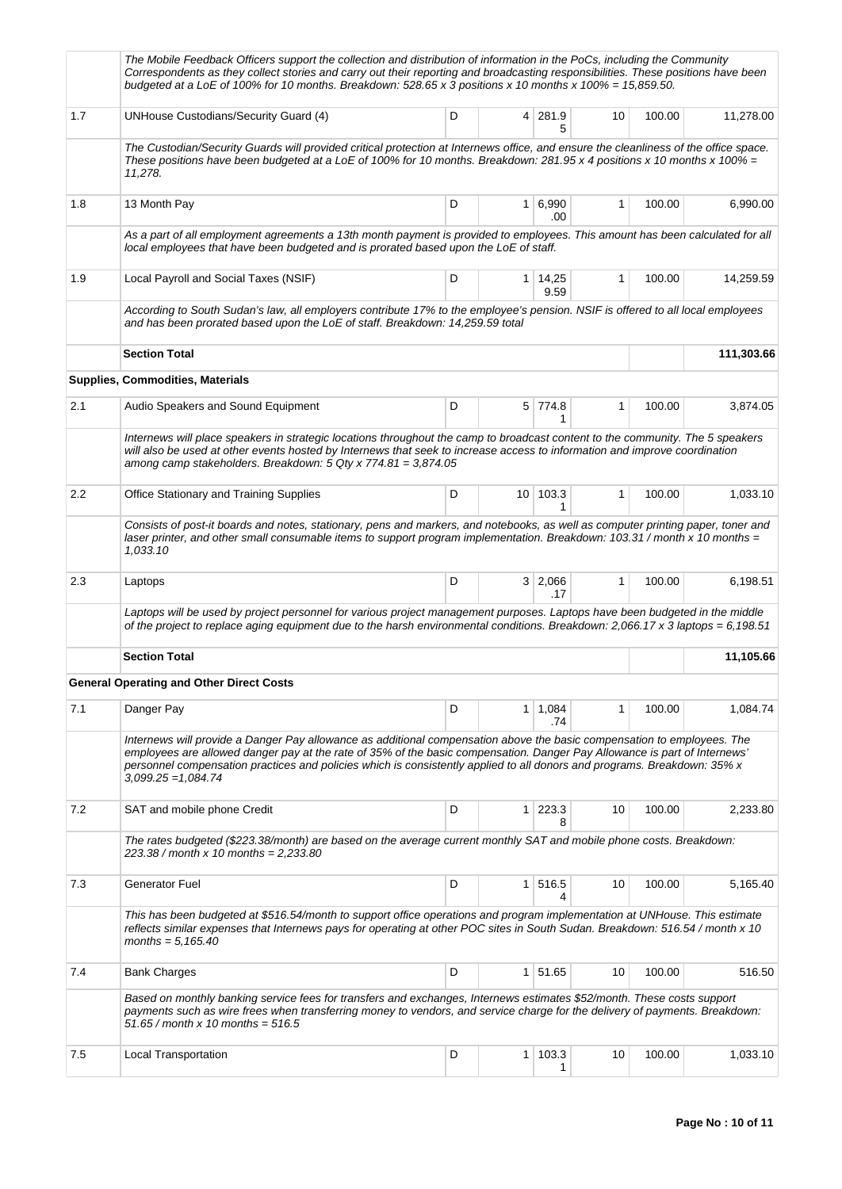|     | The Mobile Feedback Officers support the collection and distribution of information in the PoCs, including the Community<br>Correspondents as they collect stories and carry out their reporting and broadcasting responsibilities. These positions have been<br>budgeted at a LoE of 100% for 10 months. Breakdown: 528.65 x 3 positions x 10 months x 100% = 15,859.50.                                 |   |                |                        |              |        |           |  |  |  |
|-----|-----------------------------------------------------------------------------------------------------------------------------------------------------------------------------------------------------------------------------------------------------------------------------------------------------------------------------------------------------------------------------------------------------------|---|----------------|------------------------|--------------|--------|-----------|--|--|--|
| 1.7 | UNHouse Custodians/Security Guard (4)                                                                                                                                                                                                                                                                                                                                                                     | D | 4              | 281.9<br>5             | 10           | 100.00 | 11,278.00 |  |  |  |
|     | The Custodian/Security Guards will provided critical protection at Internews office, and ensure the cleanliness of the office space.<br>These positions have been budgeted at a LoE of 100% for 10 months. Breakdown: 281.95 x 4 positions x 10 months x 100% =<br>11,278.                                                                                                                                |   |                |                        |              |        |           |  |  |  |
| 1.8 | 13 Month Pay                                                                                                                                                                                                                                                                                                                                                                                              | D |                | 1 6,990<br>.00         | 1            | 100.00 | 6,990.00  |  |  |  |
|     | As a part of all employment agreements a 13th month payment is provided to employees. This amount has been calculated for all<br>local employees that have been budgeted and is prorated based upon the LoE of staff.                                                                                                                                                                                     |   |                |                        |              |        |           |  |  |  |
| 1.9 | Local Payroll and Social Taxes (NSIF)                                                                                                                                                                                                                                                                                                                                                                     | D |                | $1 \mid 14,25$<br>9.59 | $\mathbf{1}$ | 100.00 | 14,259.59 |  |  |  |
|     | According to South Sudan's law, all employers contribute 17% to the employee's pension. NSIF is offered to all local employees<br>and has been prorated based upon the LoE of staff. Breakdown: 14,259.59 total                                                                                                                                                                                           |   |                |                        |              |        |           |  |  |  |
|     | <b>Section Total</b>                                                                                                                                                                                                                                                                                                                                                                                      |   |                |                        |              |        |           |  |  |  |
|     | Supplies, Commodities, Materials                                                                                                                                                                                                                                                                                                                                                                          |   |                |                        |              |        |           |  |  |  |
| 2.1 | Audio Speakers and Sound Equipment                                                                                                                                                                                                                                                                                                                                                                        | D |                | 5 774.8<br>1           | 1            | 100.00 | 3,874.05  |  |  |  |
|     | Internews will place speakers in strategic locations throughout the camp to broadcast content to the community. The 5 speakers<br>will also be used at other events hosted by Internews that seek to increase access to information and improve coordination<br>among camp stakeholders. Breakdown: 5 Qty x 774.81 = 3,874.05                                                                             |   |                |                        |              |        |           |  |  |  |
| 2.2 | Office Stationary and Training Supplies                                                                                                                                                                                                                                                                                                                                                                   | D |                | $10$ 103.3<br>1        | $\mathbf{1}$ | 100.00 | 1,033.10  |  |  |  |
|     | Consists of post-it boards and notes, stationary, pens and markers, and notebooks, as well as computer printing paper, toner and<br>laser printer, and other small consumable items to support program implementation. Breakdown: 103.31 / month x 10 months =<br>1,033.10                                                                                                                                |   |                |                        |              |        |           |  |  |  |
| 2.3 | Laptops                                                                                                                                                                                                                                                                                                                                                                                                   | D |                | $3 \mid 2,066$<br>.17  | $\mathbf{1}$ | 100.00 | 6,198.51  |  |  |  |
|     | Laptops will be used by project personnel for various project management purposes. Laptops have been budgeted in the middle<br>of the project to replace aging equipment due to the harsh environmental conditions. Breakdown: 2,066.17 x 3 laptops = 6,198.51                                                                                                                                            |   |                |                        |              |        |           |  |  |  |
|     | <b>Section Total</b>                                                                                                                                                                                                                                                                                                                                                                                      |   |                |                        |              |        | 11,105.66 |  |  |  |
|     | <b>General Operating and Other Direct Costs</b>                                                                                                                                                                                                                                                                                                                                                           |   |                |                        |              |        |           |  |  |  |
| 7.1 | Danger Pay                                                                                                                                                                                                                                                                                                                                                                                                | D |                | $1 \mid 1,084$<br>.74  | 1            | 100.00 | 1,084.74  |  |  |  |
|     | Internews will provide a Danger Pay allowance as additional compensation above the basic compensation to employees. The<br>employees are allowed danger pay at the rate of 35% of the basic compensation. Danger Pay Allowance is part of Internews'<br>personnel compensation practices and policies which is consistently applied to all donors and programs. Breakdown: 35% x<br>$3,099.25 = 1,084.74$ |   |                |                        |              |        |           |  |  |  |
| 7.2 | SAT and mobile phone Credit                                                                                                                                                                                                                                                                                                                                                                               | D | 1 <sup>1</sup> | 223.3<br>8             | 10           | 100.00 | 2,233.80  |  |  |  |
|     | The rates budgeted (\$223.38/month) are based on the average current monthly SAT and mobile phone costs. Breakdown:<br>223.38 / month x 10 months = 2,233.80                                                                                                                                                                                                                                              |   |                |                        |              |        |           |  |  |  |
| 7.3 | Generator Fuel                                                                                                                                                                                                                                                                                                                                                                                            | D | 1 <sup>1</sup> | 516.5<br>4             | 10           | 100.00 | 5,165.40  |  |  |  |
|     | This has been budgeted at \$516.54/month to support office operations and program implementation at UNHouse. This estimate<br>reflects similar expenses that Internews pays for operating at other POC sites in South Sudan. Breakdown: 516.54 / month x 10<br>months = $5,165.40$                                                                                                                        |   |                |                        |              |        |           |  |  |  |
| 7.4 | <b>Bank Charges</b>                                                                                                                                                                                                                                                                                                                                                                                       | D |                | 1   51.65              | 10           | 100.00 | 516.50    |  |  |  |
|     | Based on monthly banking service fees for transfers and exchanges, Internews estimates \$52/month. These costs support<br>payments such as wire frees when transferring money to vendors, and service charge for the delivery of payments. Breakdown:<br>$51.65 /$ month x 10 months = 516.5                                                                                                              |   |                |                        |              |        |           |  |  |  |
| 7.5 | <b>Local Transportation</b>                                                                                                                                                                                                                                                                                                                                                                               | D | 1 <sup>1</sup> | 103.3<br>1             | 10           | 100.00 | 1,033.10  |  |  |  |